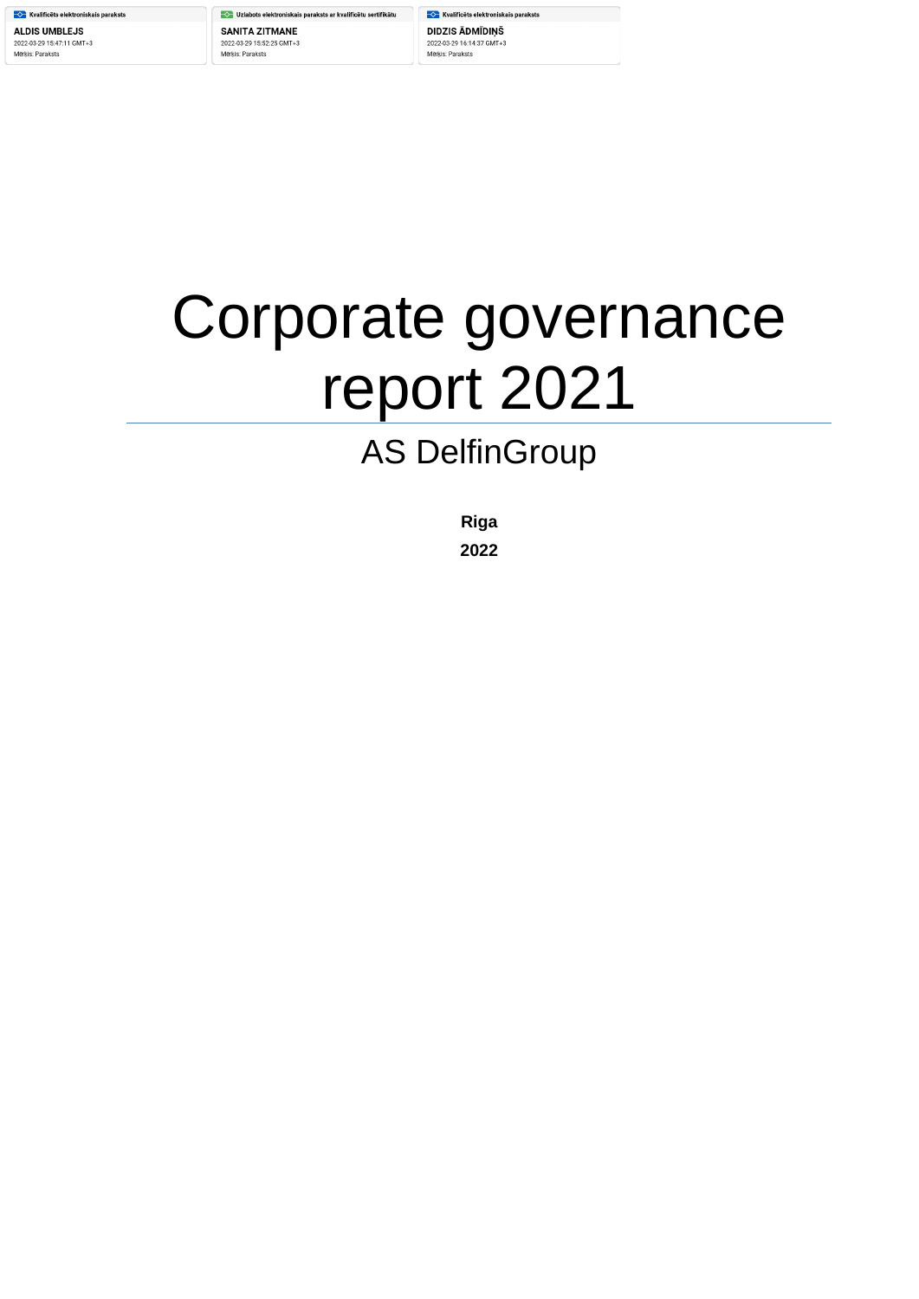**COM** Kvalificēts elektroniskais paraksts **ALDIS UMBLEJS** 2022-03-29 15:47:11 GMT+3 Mērķis: Paraksts

└ Uzlabots elektroniskais paraksts ar kvalificētu sertifikātu **SANITA ZITMANE** 2022-03-29 15:52:25 GMT+3 Mērķis: Paraksts

**Kvalificēts elektroniskais paraksts** DIDZIS ĀDMĪDIŅŠ 2022-03-29 16:14:37 GMT+3 Mērķis: Paraksts

# Corporate governance report 2021

# AS DelfinGroup

**Riga**

**2022**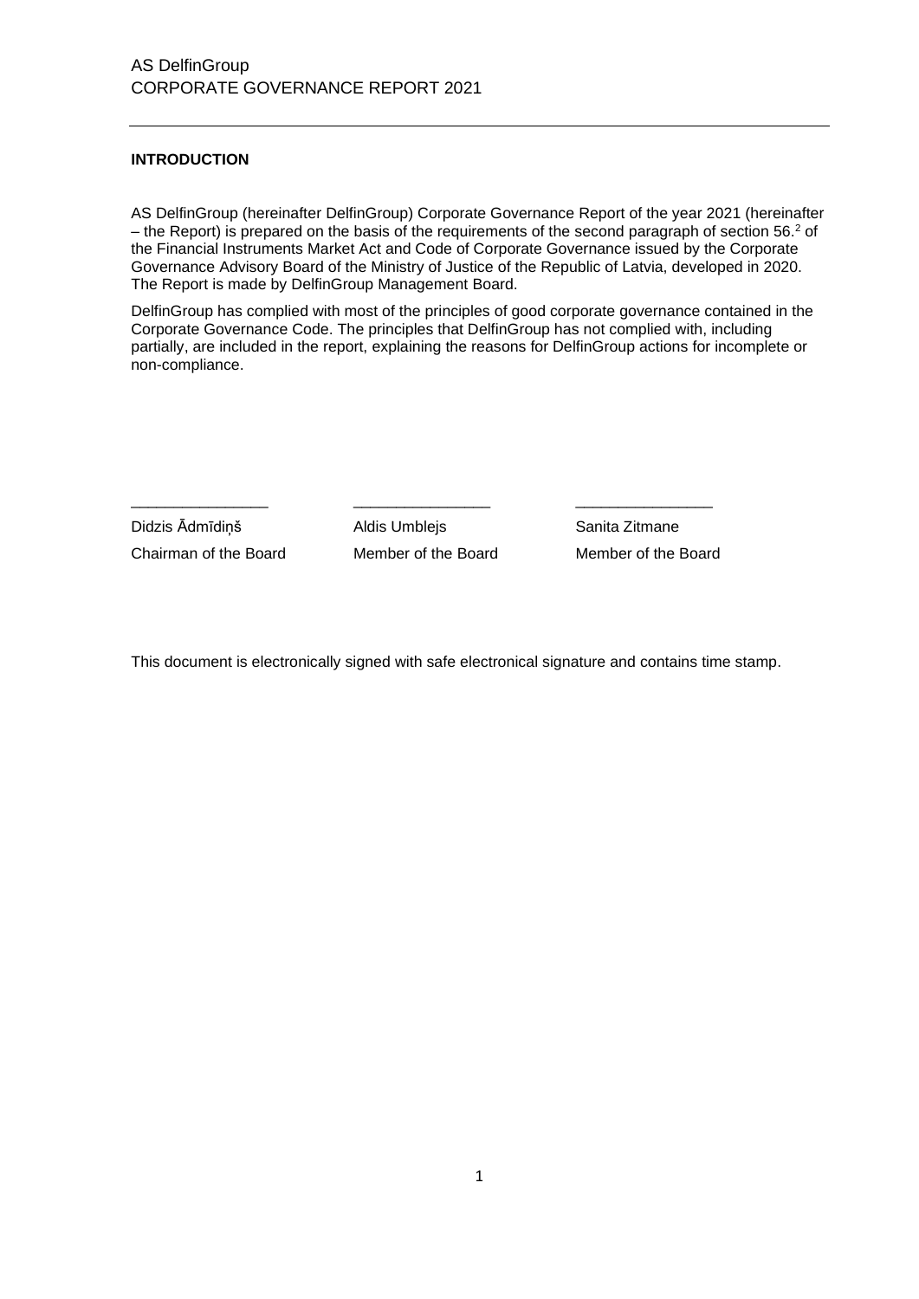# **INTRODUCTION**

AS DelfinGroup (hereinafter DelfinGroup) Corporate Governance Report of the year 2021 (hereinafter – the Report) is prepared on the basis of the requirements of the second paragraph of section 56.<sup>2</sup> of the Financial Instruments Market Act and Code of Corporate Governance issued by the Corporate Governance Advisory Board of the Ministry of Justice of the Republic of Latvia, developed in 2020. The Report is made by DelfinGroup Management Board.

DelfinGroup has complied with most of the principles of good corporate governance contained in the Corporate Governance Code. The principles that DelfinGroup has not complied with, including partially, are included in the report, explaining the reasons for DelfinGroup actions for incomplete or non-compliance.

Didzis Ādmīdiņš Aldis Umblejs Sanita Zitmane Chairman of the Board Member of the Board Member of the Board

\_\_\_\_\_\_\_\_\_\_\_\_\_\_\_\_ \_\_\_\_\_\_\_\_\_\_\_\_\_\_\_\_ \_\_\_\_\_\_\_\_\_\_\_\_\_\_\_\_

This document is electronically signed with safe electronical signature and contains time stamp.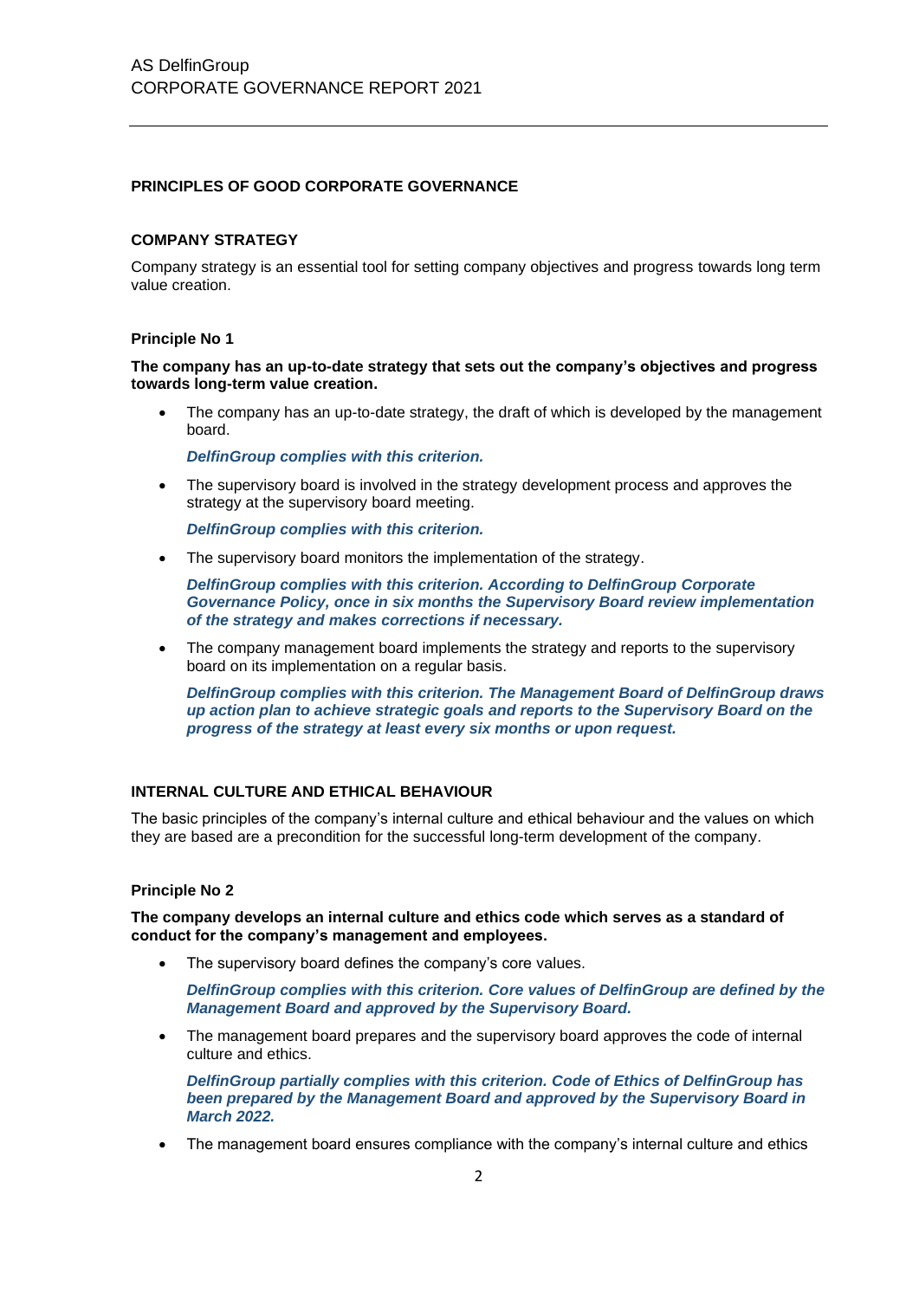# **PRINCIPLES OF GOOD CORPORATE GOVERNANCE**

# **COMPANY STRATEGY**

Company strategy is an essential tool for setting company objectives and progress towards long term value creation.

#### **Principle No 1**

**The company has an up-to-date strategy that sets out the company's objectives and progress towards long-term value creation.**

The company has an up-to-date strategy, the draft of which is developed by the management board.

*DelfinGroup complies with this criterion.*

• The supervisory board is involved in the strategy development process and approves the strategy at the supervisory board meeting.

*DelfinGroup complies with this criterion.*

The supervisory board monitors the implementation of the strategy.

*DelfinGroup complies with this criterion. According to DelfinGroup Corporate Governance Policy, once in six months the Supervisory Board review implementation of the strategy and makes corrections if necessary.*

The company management board implements the strategy and reports to the supervisory board on its implementation on a regular basis.

*DelfinGroup complies with this criterion. The Management Board of DelfinGroup draws up action plan to achieve strategic goals and reports to the Supervisory Board on the progress of the strategy at least every six months or upon request.*

## **INTERNAL CULTURE AND ETHICAL BEHAVIOUR**

The basic principles of the company's internal culture and ethical behaviour and the values on which they are based are a precondition for the successful long-term development of the company.

#### **Principle No 2**

**The company develops an internal culture and ethics code which serves as a standard of conduct for the company's management and employees.**

The supervisory board defines the company's core values.

*DelfinGroup complies with this criterion. Core values of DelfinGroup are defined by the Management Board and approved by the Supervisory Board.*

The management board prepares and the supervisory board approves the code of internal culture and ethics.

*DelfinGroup partially complies with this criterion. Code of Ethics of DelfinGroup has been prepared by the Management Board and approved by the Supervisory Board in March 2022.*

• The management board ensures compliance with the company's internal culture and ethics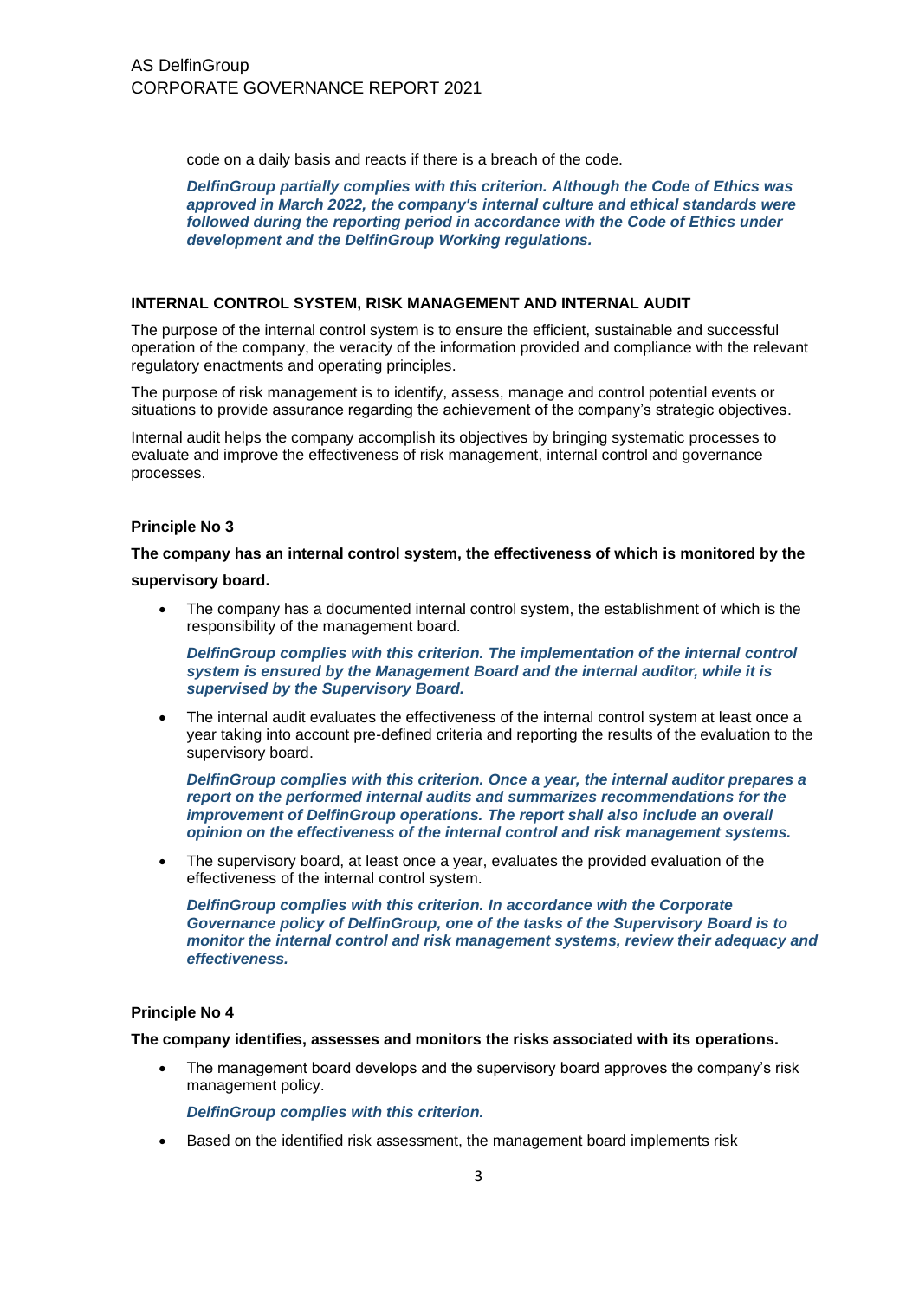code on a daily basis and reacts if there is a breach of the code.

*DelfinGroup partially complies with this criterion. Although the Code of Ethics was approved in March 2022, the company's internal culture and ethical standards were followed during the reporting period in accordance with the Code of Ethics under development and the DelfinGroup Working regulations.*

#### **INTERNAL CONTROL SYSTEM, RISK MANAGEMENT AND INTERNAL AUDIT**

The purpose of the internal control system is to ensure the efficient, sustainable and successful operation of the company, the veracity of the information provided and compliance with the relevant regulatory enactments and operating principles.

The purpose of risk management is to identify, assess, manage and control potential events or situations to provide assurance regarding the achievement of the company's strategic objectives.

Internal audit helps the company accomplish its objectives by bringing systematic processes to evaluate and improve the effectiveness of risk management, internal control and governance processes.

#### **Principle No 3**

**The company has an internal control system, the effectiveness of which is monitored by the** 

#### **supervisory board.**

• The company has a documented internal control system, the establishment of which is the responsibility of the management board.

*DelfinGroup complies with this criterion. The implementation of the internal control system is ensured by the Management Board and the internal auditor, while it is supervised by the Supervisory Board.*

• The internal audit evaluates the effectiveness of the internal control system at least once a year taking into account pre-defined criteria and reporting the results of the evaluation to the supervisory board.

*DelfinGroup complies with this criterion. Once a year, the internal auditor prepares a report on the performed internal audits and summarizes recommendations for the improvement of DelfinGroup operations. The report shall also include an overall opinion on the effectiveness of the internal control and risk management systems.*

The supervisory board, at least once a year, evaluates the provided evaluation of the effectiveness of the internal control system.

*DelfinGroup complies with this criterion. In accordance with the Corporate Governance policy of DelfinGroup, one of the tasks of the Supervisory Board is to monitor the internal control and risk management systems, review their adequacy and effectiveness.*

#### **Principle No 4**

#### **The company identifies, assesses and monitors the risks associated with its operations.**

• The management board develops and the supervisory board approves the company's risk management policy.

*DelfinGroup complies with this criterion.*

• Based on the identified risk assessment, the management board implements risk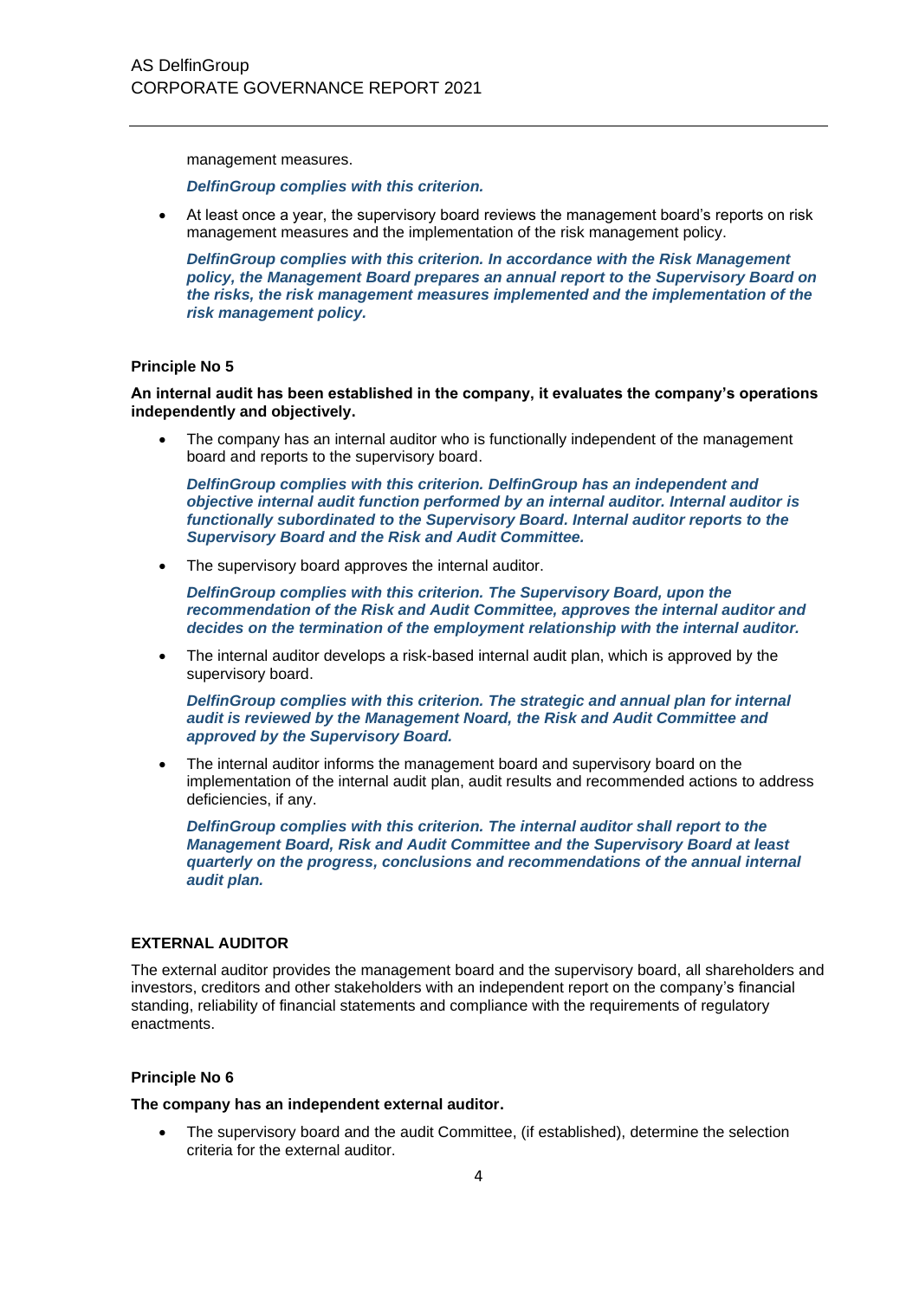management measures.

*DelfinGroup complies with this criterion.*

• At least once a year, the supervisory board reviews the management board's reports on risk management measures and the implementation of the risk management policy.

*DelfinGroup complies with this criterion. In accordance with the Risk Management policy, the Management Board prepares an annual report to the Supervisory Board on the risks, the risk management measures implemented and the implementation of the risk management policy.*

# **Principle No 5**

**An internal audit has been established in the company, it evaluates the company's operations independently and objectively.**

The company has an internal auditor who is functionally independent of the management board and reports to the supervisory board.

*DelfinGroup complies with this criterion. DelfinGroup has an independent and objective internal audit function performed by an internal auditor. Internal auditor is functionally subordinated to the Supervisory Board. Internal auditor reports to the Supervisory Board and the Risk and Audit Committee.*

• The supervisory board approves the internal auditor.

*DelfinGroup complies with this criterion. The Supervisory Board, upon the recommendation of the Risk and Audit Committee, approves the internal auditor and decides on the termination of the employment relationship with the internal auditor.*

• The internal auditor develops a risk-based internal audit plan, which is approved by the supervisory board.

*DelfinGroup complies with this criterion. The strategic and annual plan for internal audit is reviewed by the Management Noard, the Risk and Audit Committee and approved by the Supervisory Board.*

The internal auditor informs the management board and supervisory board on the implementation of the internal audit plan, audit results and recommended actions to address deficiencies, if any.

*DelfinGroup complies with this criterion. The internal auditor shall report to the Management Board, Risk and Audit Committee and the Supervisory Board at least quarterly on the progress, conclusions and recommendations of the annual internal audit plan.*

#### **EXTERNAL AUDITOR**

The external auditor provides the management board and the supervisory board, all shareholders and investors, creditors and other stakeholders with an independent report on the company's financial standing, reliability of financial statements and compliance with the requirements of regulatory enactments.

#### **Principle No 6**

**The company has an independent external auditor.**

• The supervisory board and the audit Committee, (if established), determine the selection criteria for the external auditor.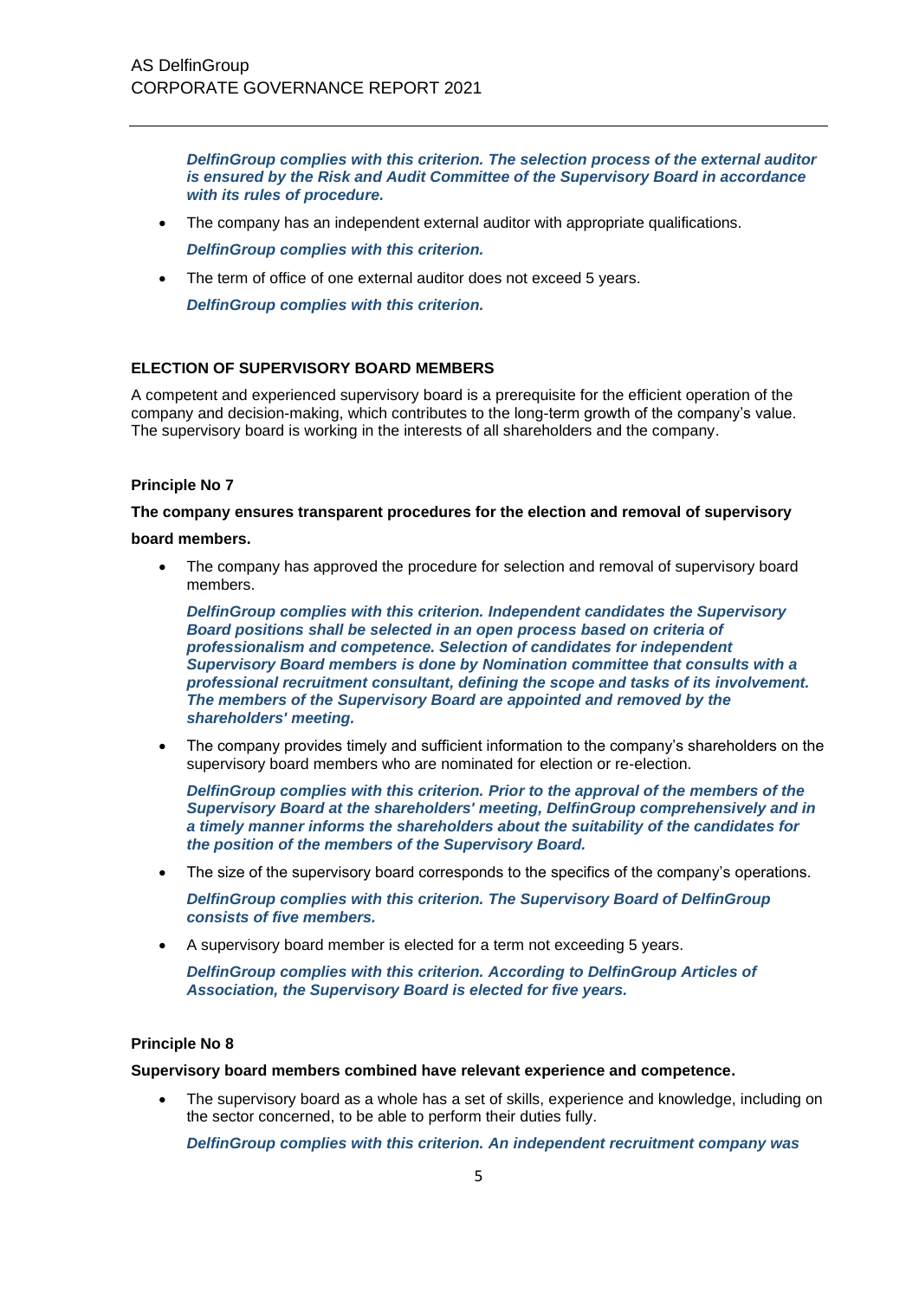*DelfinGroup complies with this criterion. The selection process of the external auditor is ensured by the Risk and Audit Committee of the Supervisory Board in accordance with its rules of procedure.*

- The company has an independent external auditor with appropriate qualifications. *DelfinGroup complies with this criterion.*
- The term of office of one external auditor does not exceed 5 years.

*DelfinGroup complies with this criterion.*

# **ELECTION OF SUPERVISORY BOARD MEMBERS**

A competent and experienced supervisory board is a prerequisite for the efficient operation of the company and decision-making, which contributes to the long-term growth of the company's value. The supervisory board is working in the interests of all shareholders and the company.

# **Principle No 7**

**The company ensures transparent procedures for the election and removal of supervisory** 

#### **board members.**

The company has approved the procedure for selection and removal of supervisory board members.

*DelfinGroup complies with this criterion. Independent candidates the Supervisory Board positions shall be selected in an open process based on criteria of professionalism and competence. Selection of candidates for independent Supervisory Board members is done by Nomination committee that consults with a professional recruitment consultant, defining the scope and tasks of its involvement. The members of the Supervisory Board are appointed and removed by the shareholders' meeting.*

• The company provides timely and sufficient information to the company's shareholders on the supervisory board members who are nominated for election or re-election.

*DelfinGroup complies with this criterion. Prior to the approval of the members of the Supervisory Board at the shareholders' meeting, DelfinGroup comprehensively and in a timely manner informs the shareholders about the suitability of the candidates for the position of the members of the Supervisory Board.*

- The size of the supervisory board corresponds to the specifics of the company's operations. *DelfinGroup complies with this criterion. The Supervisory Board of DelfinGroup consists of five members.*
- A supervisory board member is elected for a term not exceeding 5 years.

*DelfinGroup complies with this criterion. According to DelfinGroup Articles of Association, the Supervisory Board is elected for five years.*

# **Principle No 8**

**Supervisory board members combined have relevant experience and competence.**

• The supervisory board as a whole has a set of skills, experience and knowledge, including on the sector concerned, to be able to perform their duties fully.

*DelfinGroup complies with this criterion. An independent recruitment company was*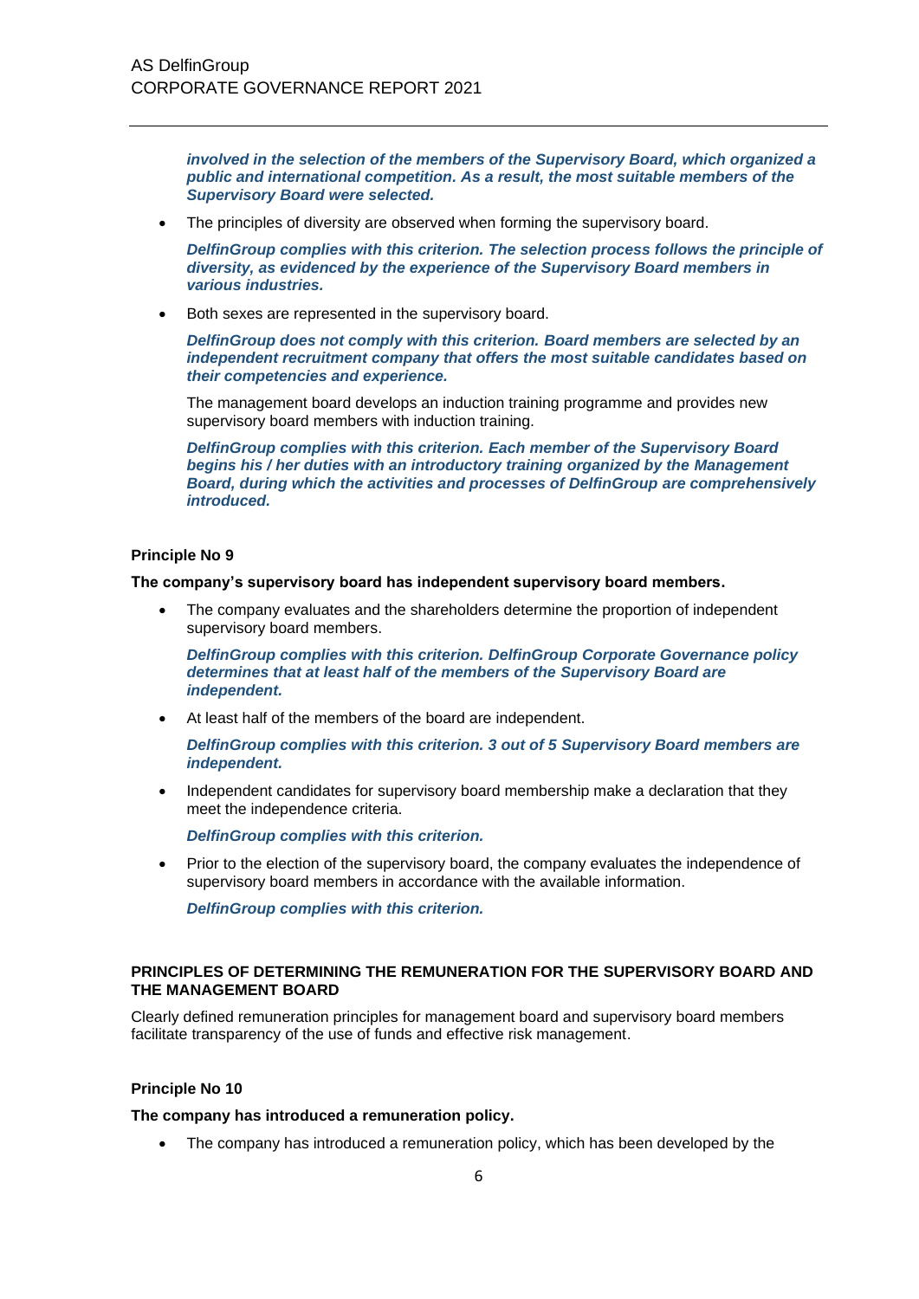*involved in the selection of the members of the Supervisory Board, which organized a public and international competition. As a result, the most suitable members of the Supervisory Board were selected.*

• The principles of diversity are observed when forming the supervisory board.

*DelfinGroup complies with this criterion. The selection process follows the principle of diversity, as evidenced by the experience of the Supervisory Board members in various industries.*

Both sexes are represented in the supervisory board.

*DelfinGroup does not comply with this criterion. Board members are selected by an independent recruitment company that offers the most suitable candidates based on their competencies and experience.*

The management board develops an induction training programme and provides new supervisory board members with induction training.

*DelfinGroup complies with this criterion. Each member of the Supervisory Board begins his / her duties with an introductory training organized by the Management Board, during which the activities and processes of DelfinGroup are comprehensively introduced.*

#### **Principle No 9**

**The company's supervisory board has independent supervisory board members.**

• The company evaluates and the shareholders determine the proportion of independent supervisory board members.

*DelfinGroup complies with this criterion. DelfinGroup Corporate Governance policy determines that at least half of the members of the Supervisory Board are independent.*

• At least half of the members of the board are independent.

*DelfinGroup complies with this criterion. 3 out of 5 Supervisory Board members are independent.*

• Independent candidates for supervisory board membership make a declaration that they meet the independence criteria.

*DelfinGroup complies with this criterion.*

• Prior to the election of the supervisory board, the company evaluates the independence of supervisory board members in accordance with the available information.

*DelfinGroup complies with this criterion.*

#### **PRINCIPLES OF DETERMINING THE REMUNERATION FOR THE SUPERVISORY BOARD AND THE MANAGEMENT BOARD**

Clearly defined remuneration principles for management board and supervisory board members facilitate transparency of the use of funds and effective risk management.

# **Principle No 10**

**The company has introduced a remuneration policy.**

• The company has introduced a remuneration policy, which has been developed by the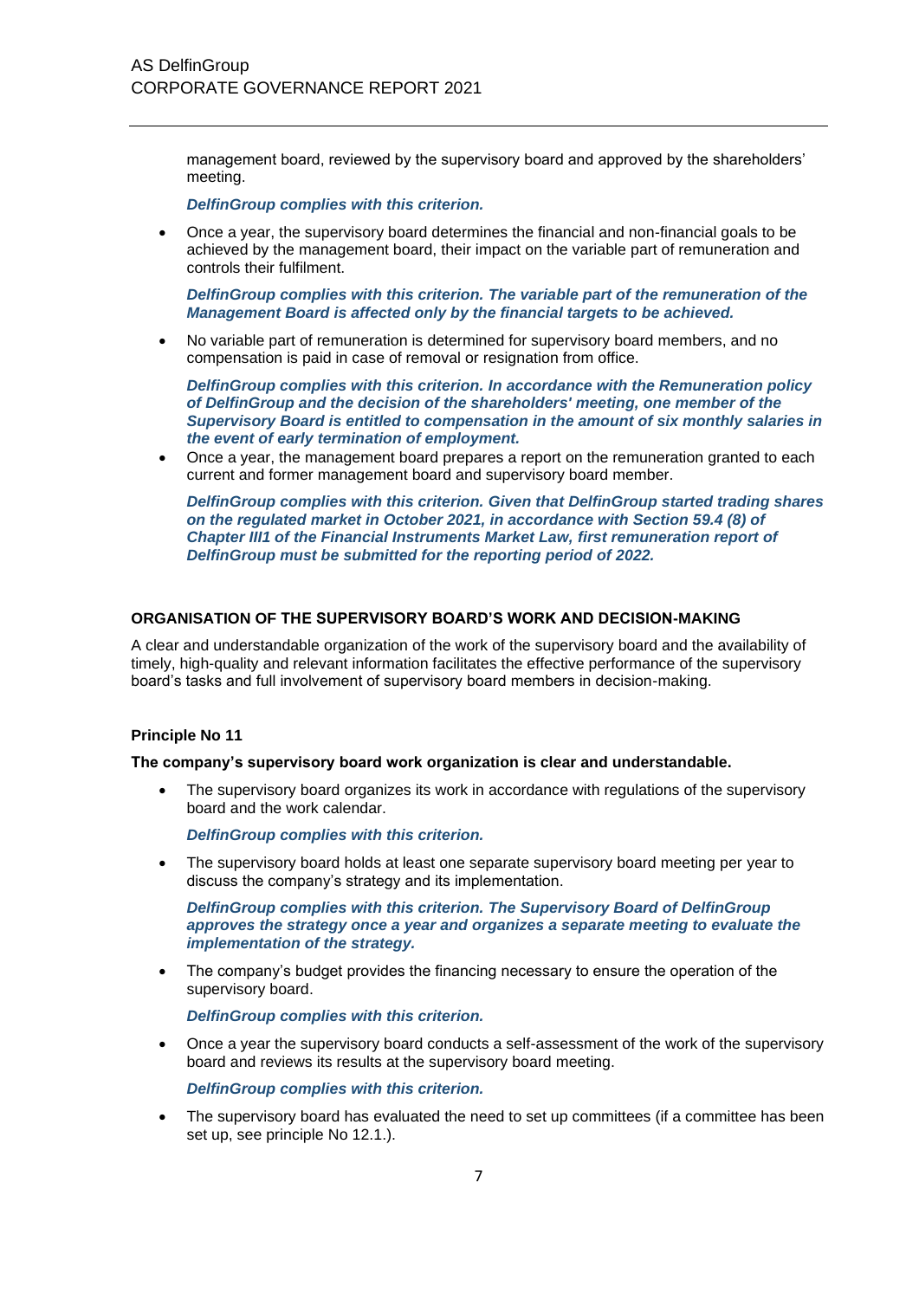management board, reviewed by the supervisory board and approved by the shareholders' meeting.

*DelfinGroup complies with this criterion.*

• Once a year, the supervisory board determines the financial and non-financial goals to be achieved by the management board, their impact on the variable part of remuneration and controls their fulfilment.

*DelfinGroup complies with this criterion. The variable part of the remuneration of the Management Board is affected only by the financial targets to be achieved.*

• No variable part of remuneration is determined for supervisory board members, and no compensation is paid in case of removal or resignation from office.

*DelfinGroup complies with this criterion. In accordance with the Remuneration policy of DelfinGroup and the decision of the shareholders' meeting, one member of the Supervisory Board is entitled to compensation in the amount of six monthly salaries in the event of early termination of employment.*

• Once a year, the management board prepares a report on the remuneration granted to each current and former management board and supervisory board member.

*DelfinGroup complies with this criterion. Given that DelfinGroup started trading shares on the regulated market in October 2021, in accordance with Section 59.4 (8) of Chapter III1 of the Financial Instruments Market Law, first remuneration report of DelfinGroup must be submitted for the reporting period of 2022.*

# **ORGANISATION OF THE SUPERVISORY BOARD'S WORK AND DECISION-MAKING**

A clear and understandable organization of the work of the supervisory board and the availability of timely, high-quality and relevant information facilitates the effective performance of the supervisory board's tasks and full involvement of supervisory board members in decision-making.

#### **Principle No 11**

#### **The company's supervisory board work organization is clear and understandable.**

• The supervisory board organizes its work in accordance with regulations of the supervisory board and the work calendar.

*DelfinGroup complies with this criterion.*

• The supervisory board holds at least one separate supervisory board meeting per year to discuss the company's strategy and its implementation.

*DelfinGroup complies with this criterion. The Supervisory Board of DelfinGroup approves the strategy once a year and organizes a separate meeting to evaluate the implementation of the strategy.*

• The company's budget provides the financing necessary to ensure the operation of the supervisory board.

*DelfinGroup complies with this criterion.*

• Once a year the supervisory board conducts a self-assessment of the work of the supervisory board and reviews its results at the supervisory board meeting.

# *DelfinGroup complies with this criterion.*

The supervisory board has evaluated the need to set up committees (if a committee has been set up, see principle No 12.1.).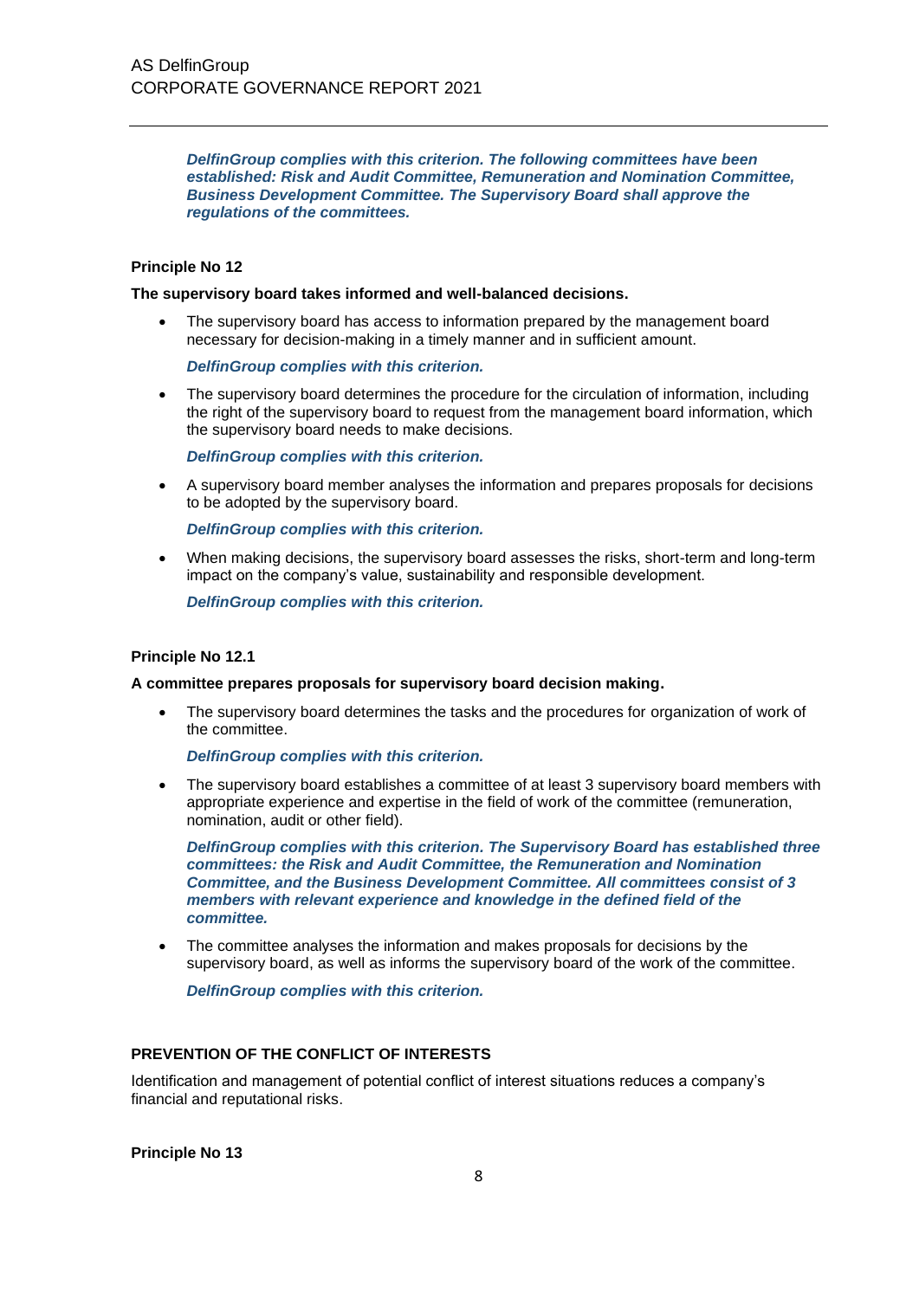*DelfinGroup complies with this criterion. The following committees have been established: Risk and Audit Committee, Remuneration and Nomination Committee, Business Development Committee. The Supervisory Board shall approve the regulations of the committees.*

# **Principle No 12**

#### **The supervisory board takes informed and well-balanced decisions.**

• The supervisory board has access to information prepared by the management board necessary for decision-making in a timely manner and in sufficient amount.

*DelfinGroup complies with this criterion.*

• The supervisory board determines the procedure for the circulation of information, including the right of the supervisory board to request from the management board information, which the supervisory board needs to make decisions.

*DelfinGroup complies with this criterion.*

• A supervisory board member analyses the information and prepares proposals for decisions to be adopted by the supervisory board.

*DelfinGroup complies with this criterion.*

• When making decisions, the supervisory board assesses the risks, short-term and long-term impact on the company's value, sustainability and responsible development.

*DelfinGroup complies with this criterion.*

#### **Principle No 12.1**

#### **A committee prepares proposals for supervisory board decision making.**

The supervisory board determines the tasks and the procedures for organization of work of the committee.

*DelfinGroup complies with this criterion.*

• The supervisory board establishes a committee of at least 3 supervisory board members with appropriate experience and expertise in the field of work of the committee (remuneration, nomination, audit or other field).

*DelfinGroup complies with this criterion. The Supervisory Board has established three committees: the Risk and Audit Committee, the Remuneration and Nomination Committee, and the Business Development Committee. All committees consist of 3 members with relevant experience and knowledge in the defined field of the committee.*

• The committee analyses the information and makes proposals for decisions by the supervisory board, as well as informs the supervisory board of the work of the committee.

*DelfinGroup complies with this criterion.*

# **PREVENTION OF THE CONFLICT OF INTERESTS**

Identification and management of potential conflict of interest situations reduces a company's financial and reputational risks.

**Principle No 13**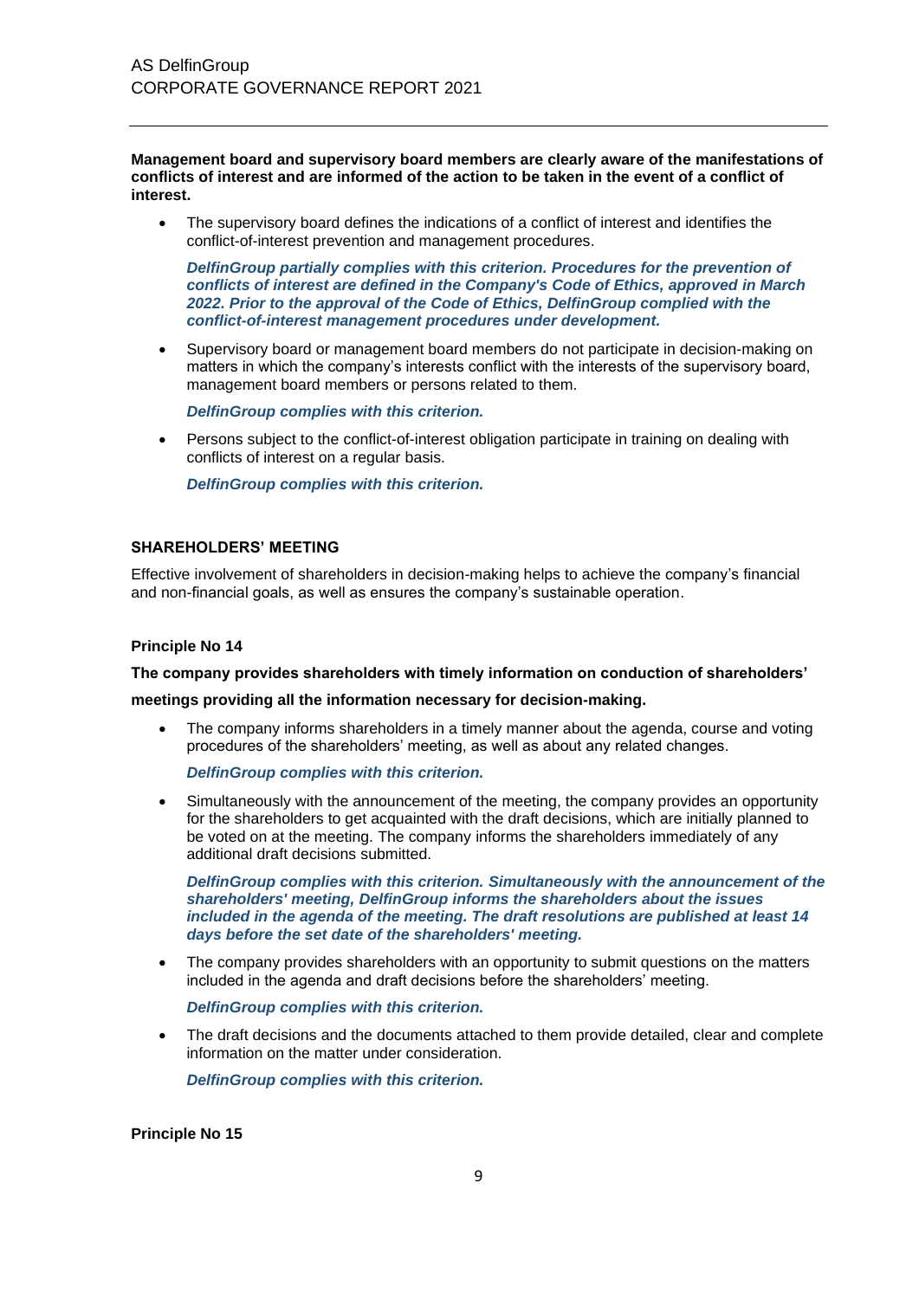**Management board and supervisory board members are clearly aware of the manifestations of conflicts of interest and are informed of the action to be taken in the event of a conflict of interest.**

The supervisory board defines the indications of a conflict of interest and identifies the conflict-of-interest prevention and management procedures.

*DelfinGroup partially complies with this criterion. Procedures for the prevention of conflicts of interest are defined in the Company's Code of Ethics, approved in March 2022. Prior to the approval of the Code of Ethics, DelfinGroup complied with the conflict-of-interest management procedures under development.*

• Supervisory board or management board members do not participate in decision-making on matters in which the company's interests conflict with the interests of the supervisory board, management board members or persons related to them.

*DelfinGroup complies with this criterion.*

• Persons subject to the conflict-of-interest obligation participate in training on dealing with conflicts of interest on a regular basis.

*DelfinGroup complies with this criterion.*

# **SHAREHOLDERS' MEETING**

Effective involvement of shareholders in decision-making helps to achieve the company's financial and non-financial goals, as well as ensures the company's sustainable operation.

#### **Principle No 14**

**The company provides shareholders with timely information on conduction of shareholders'** 

**meetings providing all the information necessary for decision-making.**

• The company informs shareholders in a timely manner about the agenda, course and voting procedures of the shareholders' meeting, as well as about any related changes.

*DelfinGroup complies with this criterion.* 

• Simultaneously with the announcement of the meeting, the company provides an opportunity for the shareholders to get acquainted with the draft decisions, which are initially planned to be voted on at the meeting. The company informs the shareholders immediately of any additional draft decisions submitted.

*DelfinGroup complies with this criterion. Simultaneously with the announcement of the shareholders' meeting, DelfinGroup informs the shareholders about the issues included in the agenda of the meeting. The draft resolutions are published at least 14 days before the set date of the shareholders' meeting.*

The company provides shareholders with an opportunity to submit questions on the matters included in the agenda and draft decisions before the shareholders' meeting.

*DelfinGroup complies with this criterion.* 

The draft decisions and the documents attached to them provide detailed, clear and complete information on the matter under consideration.

*DelfinGroup complies with this criterion.* 

**Principle No 15**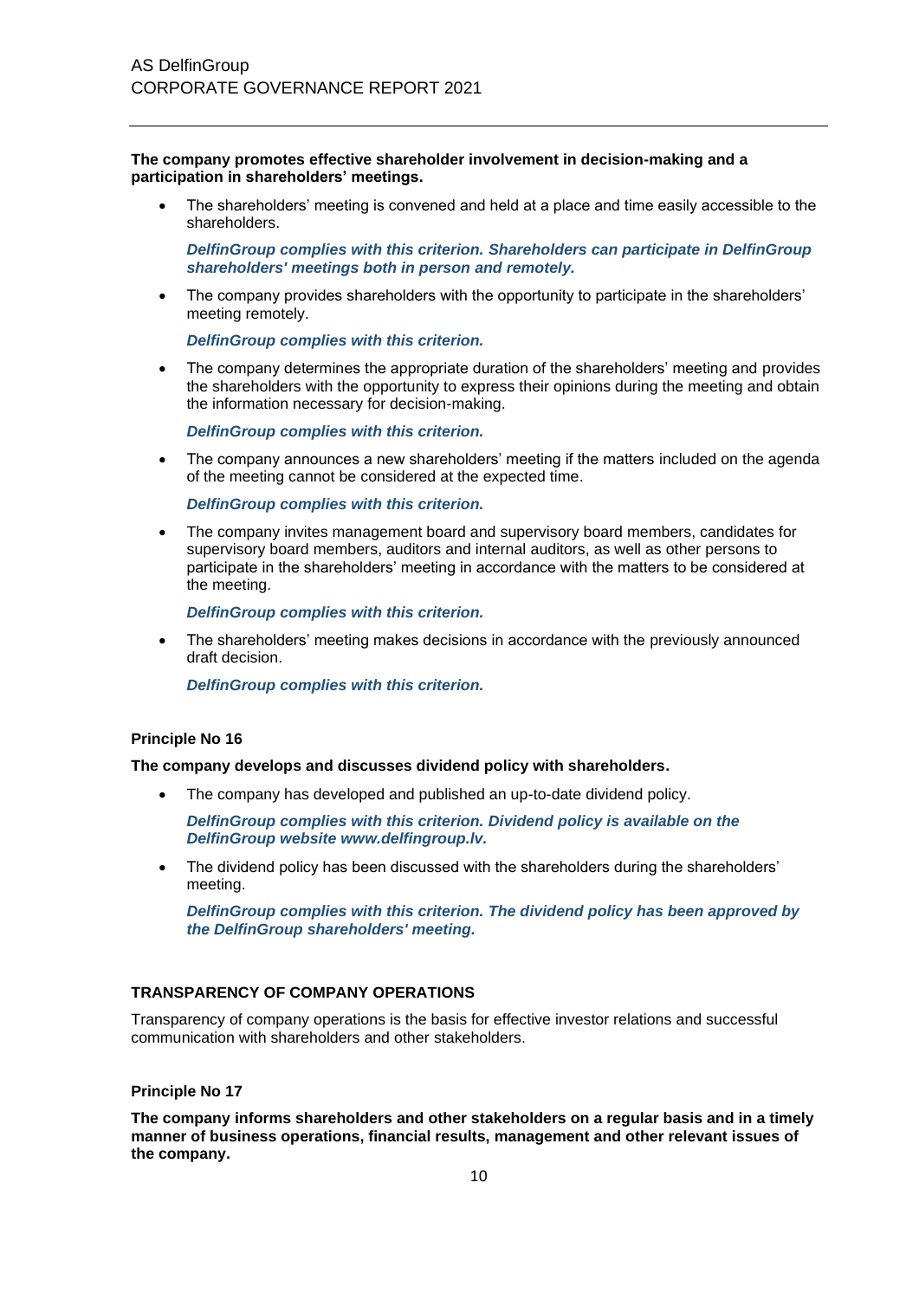**The company promotes effective shareholder involvement in decision-making and a participation in shareholders' meetings.**

• The shareholders' meeting is convened and held at a place and time easily accessible to the shareholders.

*DelfinGroup complies with this criterion. Shareholders can participate in DelfinGroup shareholders' meetings both in person and remotely.*

• The company provides shareholders with the opportunity to participate in the shareholders' meeting remotely.

*DelfinGroup complies with this criterion.*

• The company determines the appropriate duration of the shareholders' meeting and provides the shareholders with the opportunity to express their opinions during the meeting and obtain the information necessary for decision-making.

*DelfinGroup complies with this criterion.*

• The company announces a new shareholders' meeting if the matters included on the agenda of the meeting cannot be considered at the expected time.

*DelfinGroup complies with this criterion.*

• The company invites management board and supervisory board members, candidates for supervisory board members, auditors and internal auditors, as well as other persons to participate in the shareholders' meeting in accordance with the matters to be considered at the meeting.

*DelfinGroup complies with this criterion.*

• The shareholders' meeting makes decisions in accordance with the previously announced draft decision.

*DelfinGroup complies with this criterion.*

#### **Principle No 16**

#### **The company develops and discusses dividend policy with shareholders.**

The company has developed and published an up-to-date dividend policy.

*DelfinGroup complies with this criterion. Dividend policy is available on the DelfinGroup website www.delfingroup.lv.*

• The dividend policy has been discussed with the shareholders during the shareholders' meeting.

*DelfinGroup complies with this criterion. The dividend policy has been approved by the DelfinGroup shareholders' meeting.*

#### **TRANSPARENCY OF COMPANY OPERATIONS**

Transparency of company operations is the basis for effective investor relations and successful communication with shareholders and other stakeholders.

#### **Principle No 17**

**The company informs shareholders and other stakeholders on a regular basis and in a timely manner of business operations, financial results, management and other relevant issues of the company.**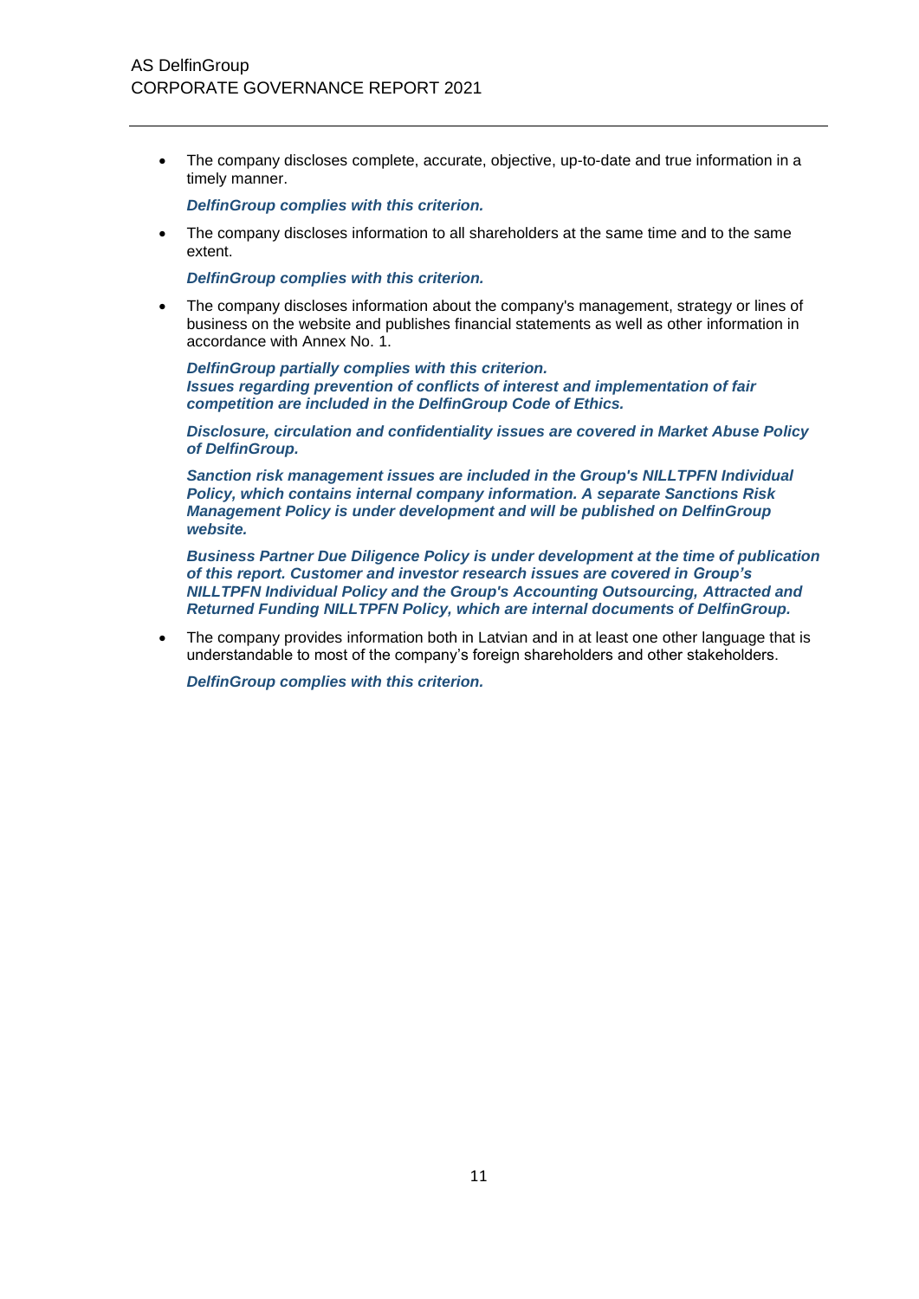• The company discloses complete, accurate, objective, up-to-date and true information in a timely manner.

*DelfinGroup complies with this criterion.*

• The company discloses information to all shareholders at the same time and to the same extent.

*DelfinGroup complies with this criterion.*

The company discloses information about the company's management, strategy or lines of business on the website and publishes financial statements as well as other information in accordance with Annex No. 1.

*DelfinGroup partially complies with this criterion. Issues regarding prevention of conflicts of interest and implementation of fair competition are included in the DelfinGroup Code of Ethics.*

*Disclosure, circulation and confidentiality issues are covered in Market Abuse Policy of DelfinGroup.*

*Sanction risk management issues are included in the Group's NILLTPFN Individual Policy, which contains internal company information. A separate Sanctions Risk Management Policy is under development and will be published on DelfinGroup website.*

*Business Partner Due Diligence Policy is under development at the time of publication of this report. Customer and investor research issues are covered in Group's NILLTPFN Individual Policy and the Group's Accounting Outsourcing, Attracted and Returned Funding NILLTPFN Policy, which are internal documents of DelfinGroup.*

• The company provides information both in Latvian and in at least one other language that is understandable to most of the company's foreign shareholders and other stakeholders.

*DelfinGroup complies with this criterion.*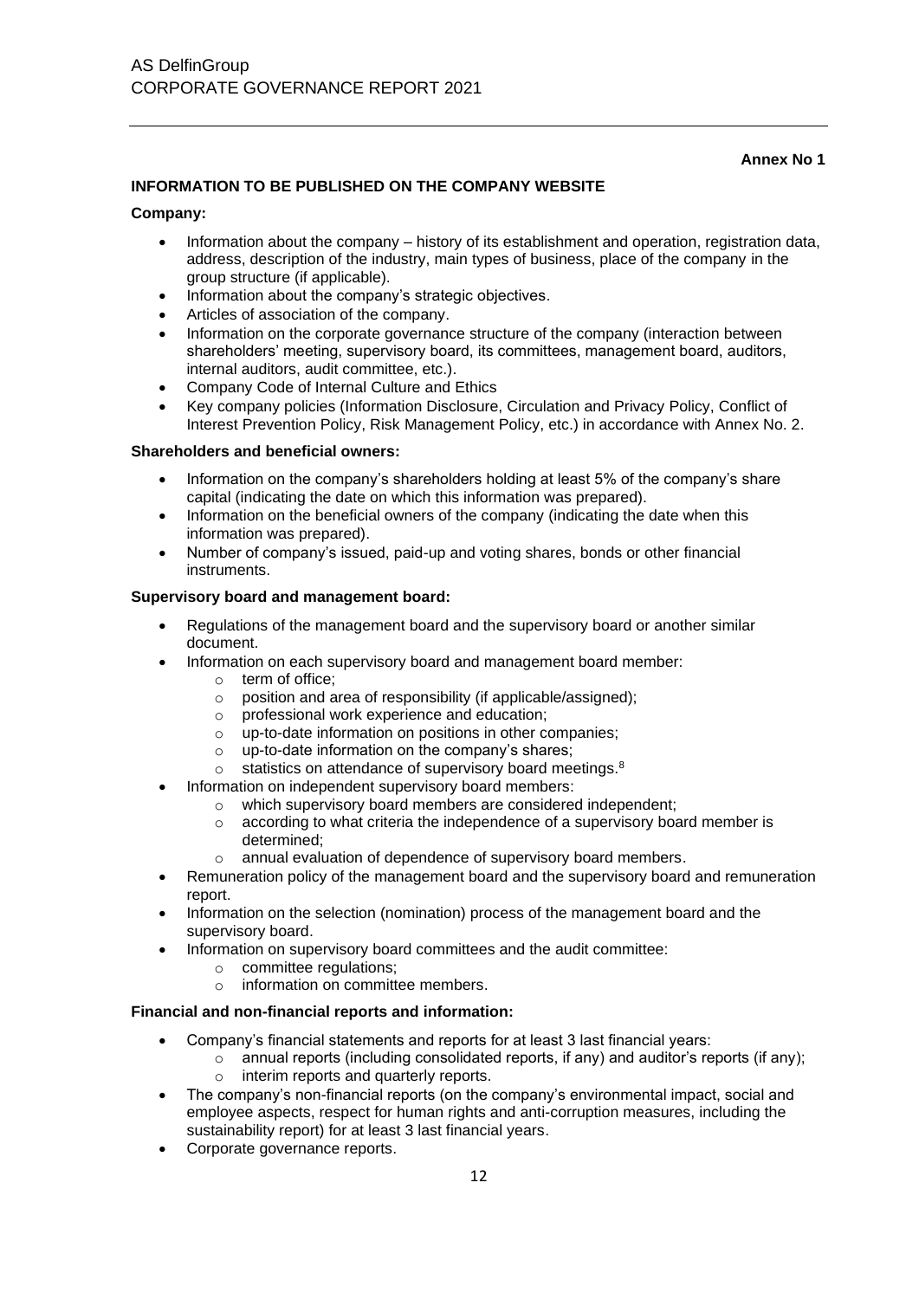# **Annex No 1**

# **INFORMATION TO BE PUBLISHED ON THE COMPANY WEBSITE**

# **Company:**

- Information about the company history of its establishment and operation, registration data, address, description of the industry, main types of business, place of the company in the group structure (if applicable).
- Information about the company's strategic objectives.
- Articles of association of the company.
- Information on the corporate governance structure of the company (interaction between shareholders' meeting, supervisory board, its committees, management board, auditors, internal auditors, audit committee, etc.).
- Company Code of Internal Culture and Ethics
- Key company policies (Information Disclosure, Circulation and Privacy Policy, Conflict of Interest Prevention Policy, Risk Management Policy, etc.) in accordance with Annex No. 2.

# **Shareholders and beneficial owners:**

- Information on the company's shareholders holding at least 5% of the company's share capital (indicating the date on which this information was prepared).
- Information on the beneficial owners of the company (indicating the date when this information was prepared).
- Number of company's issued, paid-up and voting shares, bonds or other financial instruments.

#### **Supervisory board and management board:**

- Regulations of the management board and the supervisory board or another similar document.
- Information on each supervisory board and management board member:
	- o term of office;
	- o position and area of responsibility (if applicable/assigned);
	- o professional work experience and education;
	- o up-to-date information on positions in other companies;
	- o up-to-date information on the company's shares;
	- o statistics on attendance of supervisory board meetings.<sup>8</sup>
- Information on independent supervisory board members:
	- o which supervisory board members are considered independent;
	- $\circ$  according to what criteria the independence of a supervisory board member is determined;
	- o annual evaluation of dependence of supervisory board members.
- Remuneration policy of the management board and the supervisory board and remuneration report.
- Information on the selection (nomination) process of the management board and the supervisory board.
- Information on supervisory board committees and the audit committee:
	- o committee regulations;
		- o information on committee members.

# **Financial and non-financial reports and information:**

- Company's financial statements and reports for at least 3 last financial years:
	- $\circ$  annual reports (including consolidated reports, if any) and auditor's reports (if any);
	- o interim reports and quarterly reports.
- The company's non-financial reports (on the company's environmental impact, social and employee aspects, respect for human rights and anti-corruption measures, including the sustainability report) for at least 3 last financial years.
- Corporate governance reports.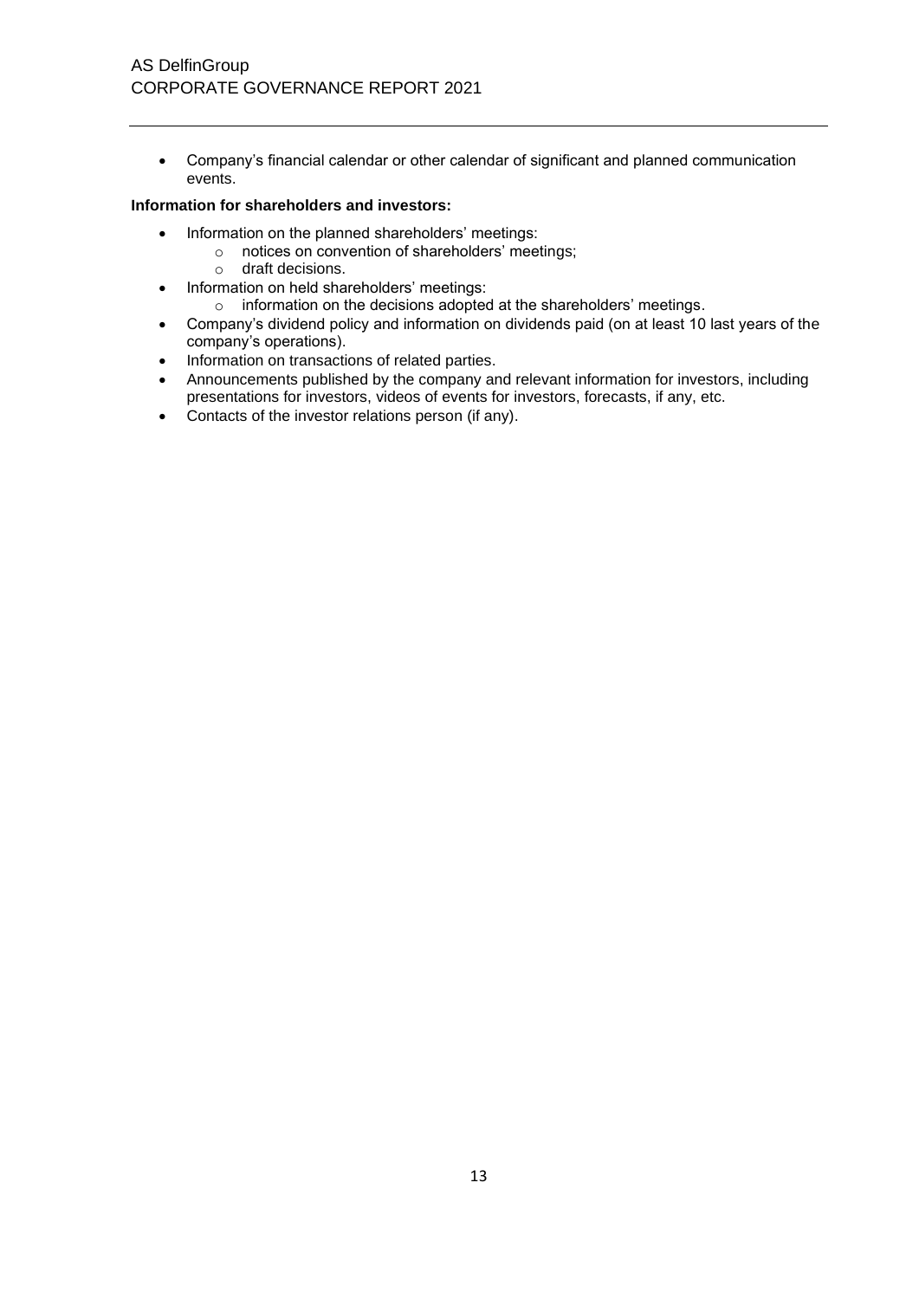• Company's financial calendar or other calendar of significant and planned communication events.

# **Information for shareholders and investors:**

- Information on the planned shareholders' meetings:
	- o notices on convention of shareholders' meetings;
	- o draft decisions.
- Information on held shareholders' meetings:
	- o information on the decisions adopted at the shareholders' meetings.
- Company's dividend policy and information on dividends paid (on at least 10 last years of the company's operations).
- Information on transactions of related parties.
- Announcements published by the company and relevant information for investors, including presentations for investors, videos of events for investors, forecasts, if any, etc.
- Contacts of the investor relations person (if any).